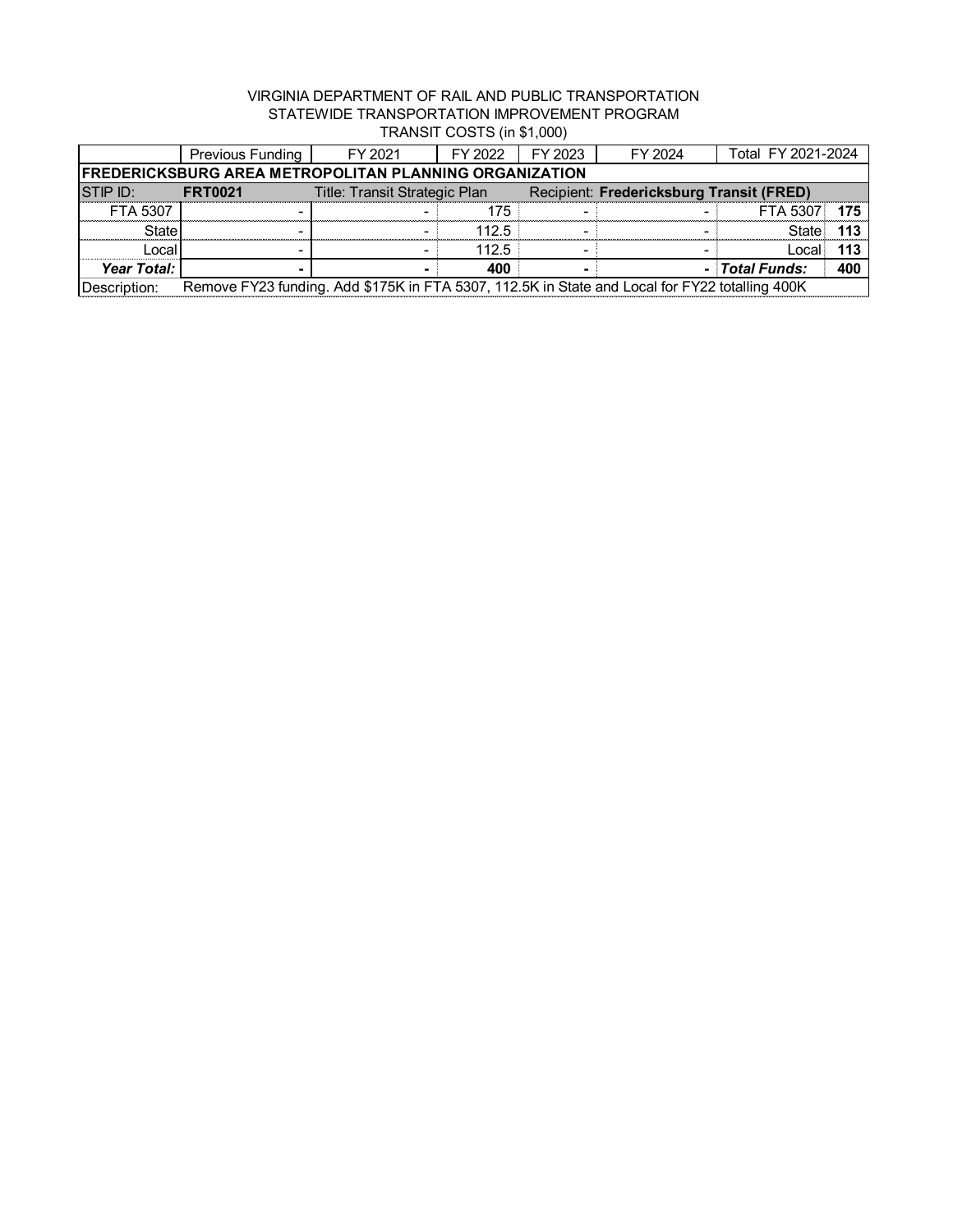## VIRGINIA DEPARTMENT OF RAIL AND PUBLIC TRANSPORTATION STATEWIDE TRANSPORTATION IMPROVEMENT PROGRAM TRANSIT COSTS (in \$1,000)

|                                                                                                                | Previous Funding | FY 2021 | FY 2022 | FY 2023 | FY 2024 | Total FY 2021-2024                       |     |  |  |
|----------------------------------------------------------------------------------------------------------------|------------------|---------|---------|---------|---------|------------------------------------------|-----|--|--|
| <b>FREDERICKSBURG AREA METROPOLITAN PLANNING ORGANIZATION</b>                                                  |                  |         |         |         |         |                                          |     |  |  |
| <b>STIP ID:</b><br>Title: Transit Strategic Plan<br><b>FRT0021</b>                                             |                  |         |         |         |         | Recipient: Fredericksburg Transit (FRED) |     |  |  |
| FTA 5307                                                                                                       |                  |         | 175     |         |         | FTA 5307                                 | 175 |  |  |
| State                                                                                                          |                  |         | 112.5   |         |         | State                                    | 113 |  |  |
| Locall                                                                                                         |                  |         | 112.5   |         |         | Local                                    | 113 |  |  |
| Year Total:                                                                                                    |                  |         | 400     |         |         | - Total Funds:                           | 400 |  |  |
| Remove FY23 funding. Add \$175K in FTA 5307, 112.5K in State and Local for FY22 totalling 400K<br>Description: |                  |         |         |         |         |                                          |     |  |  |